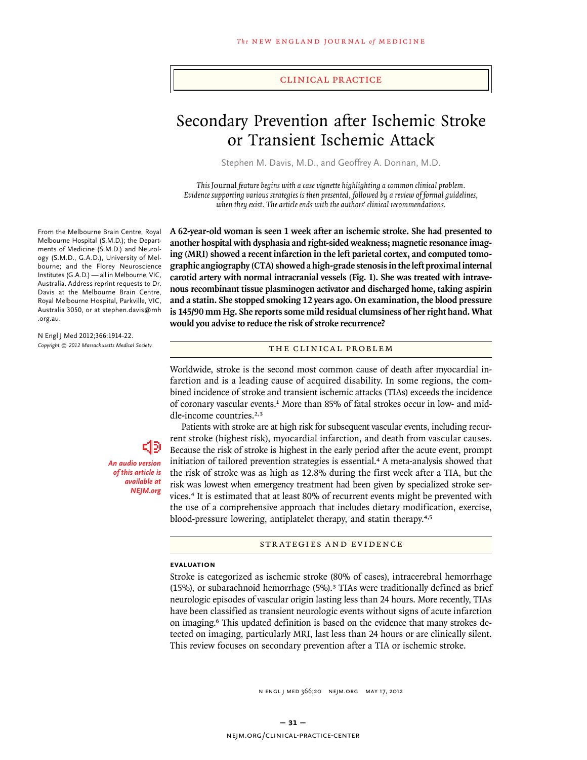# clinical practice

# Secondary Prevention after Ischemic Stroke or Transient Ischemic Attack

Stephen M. Davis, M.D., and Geoffrey A. Donnan, M.D.

*This* Journal *feature begins with a case vignette highlighting a common clinical problem. Evidence supporting various strategies is then presented, followed by a review of formal guidelines, when they exist. The article ends with the authors' clinical recommendations.* 

**A 62-year-old woman is seen 1 week after an ischemic stroke. She had presented to another hospital with dysphasia and right-sided weakness; magnetic resonance imaging (MRI) showed a recent infarction in the left parietal cortex, and computed tomographic angiography (CTA) showed a high-grade stenosis in the left proximal internal carotid artery with normal intracranial vessels (Fig. 1). She was treated with intravenous recombinant tissue plasminogen activator and discharged home, taking aspirin and a statin. She stopped smoking 12 years ago. On examination, the blood pressure is 145/90 mm Hg. She reports some mild residual clumsiness of her right hand. What would you advise to reduce the risk of stroke recurrence?**

# THE CLINICAL PROBLEM

Worldwide, stroke is the second most common cause of death after myocardial infarction and is a leading cause of acquired disability. In some regions, the combined incidence of stroke and transient ischemic attacks (TIAs) exceeds the incidence of coronary vascular events.1 More than 85% of fatal strokes occur in low- and middle-income countries.<sup>2,3</sup>

Patients with stroke are at high risk for subsequent vascular events, including recurrent stroke (highest risk), myocardial infarction, and death from vascular causes. Because the risk of stroke is highest in the early period after the acute event, prompt initiation of tailored prevention strategies is essential.<sup>4</sup> A meta-analysis showed that the risk of stroke was as high as 12.8% during the first week after a TIA, but the risk was lowest when emergency treatment had been given by specialized stroke services.<sup>4</sup> It is estimated that at least 80% of recurrent events might be prevented with the use of a comprehensive approach that includes dietary modification, exercise, blood-pressure lowering, antiplatelet therapy, and statin therapy.<sup>4,5</sup>

### STRATEGIES AND EVIDENCE

### **Evaluation**

Stroke is categorized as ischemic stroke (80% of cases), intracerebral hemorrhage (15%), or subarachnoid hemorrhage (5%).<sup>3</sup> TIAs were traditionally defined as brief neurologic episodes of vascular origin lasting less than 24 hours. More recently, TIAs have been classified as transient neurologic events without signs of acute infarction on imaging.6 This updated definition is based on the evidence that many strokes detected on imaging, particularly MRI, last less than 24 hours or are clinically silent. This review focuses on secondary prevention after a TIA or ischemic stroke.

From the Melbourne Brain Centre, Royal Melbourne Hospital (S.M.D.); the Departments of Medicine (S.M.D.) and Neurology (S.M.D., G.A.D.), University of Melbourne; and the Florey Neuroscience Institutes (G.A.D.) — all in Melbourne, VIC, Australia. Address reprint requests to Dr. Davis at the Melbourne Brain Centre, Royal Melbourne Hospital, Parkville, VIC, Australia 3050, or at stephen.davis@mh .org.au.

N Engl J Med 2012;366:1914-22. *Copyright © 2012 Massachusetts Medical Society.*

> *An audio version of this article is available at NEJM.org*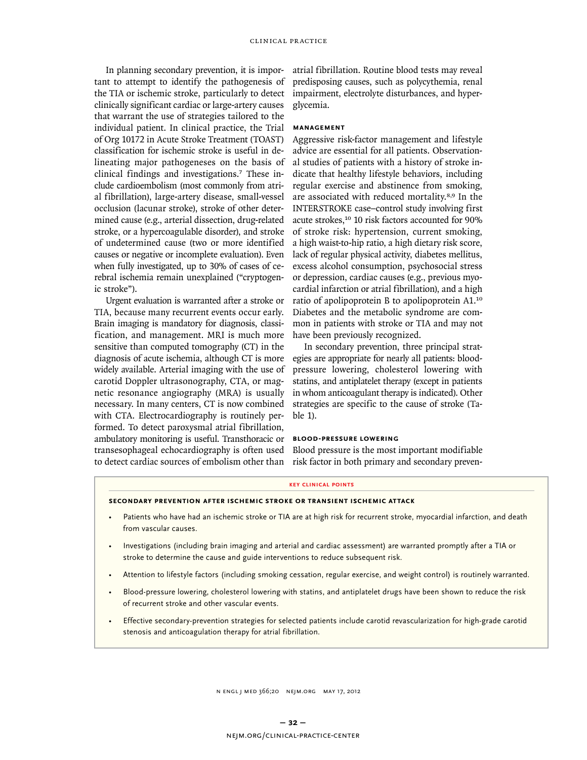In planning secondary prevention, it is important to attempt to identify the pathogenesis of the TIA or ischemic stroke, particularly to detect clinically significant cardiac or large-artery causes that warrant the use of strategies tailored to the individual patient. In clinical practice, the Trial of Org 10172 in Acute Stroke Treatment (TOAST) classification for ischemic stroke is useful in delineating major pathogeneses on the basis of clinical findings and investigations.7 These include cardioembolism (most commonly from atrial fibrillation), large-artery disease, small-vessel occlusion (lacunar stroke), stroke of other determined cause (e.g., arterial dissection, drug-related stroke, or a hypercoagulable disorder), and stroke of undetermined cause (two or more identified causes or negative or incomplete evaluation). Even when fully investigated, up to 30% of cases of cerebral ischemia remain unexplained ("cryptogenic stroke").

Urgent evaluation is warranted after a stroke or TIA, because many recurrent events occur early. Brain imaging is mandatory for diagnosis, classification, and management. MRI is much more sensitive than computed tomography (CT) in the diagnosis of acute ischemia, although CT is more widely available. Arterial imaging with the use of carotid Doppler ultrasonography, CTA, or magnetic resonance angiography (MRA) is usually necessary. In many centers, CT is now combined with CTA. Electrocardiography is routinely performed. To detect paroxysmal atrial fibrillation, ambulatory monitoring is useful. Transthoracic or transesophageal echocardiography is often used to detect cardiac sources of embolism other than

atrial fibrillation. Routine blood tests may reveal predisposing causes, such as polycythemia, renal impairment, electrolyte disturbances, and hyperglycemia.

## **Management**

Aggressive risk-factor management and lifestyle advice are essential for all patients. Observational studies of patients with a history of stroke indicate that healthy lifestyle behaviors, including regular exercise and abstinence from smoking, are associated with reduced mortality.8,9 In the INTERSTROKE case–control study involving first acute strokes,<sup>10</sup> 10 risk factors accounted for 90% of stroke risk: hypertension, current smoking, a high waist-to-hip ratio, a high dietary risk score, lack of regular physical activity, diabetes mellitus, excess alcohol consumption, psychosocial stress or depression, cardiac causes (e.g., previous myocardial infarction or atrial fibrillation), and a high ratio of apolipoprotein B to apolipoprotein A1.<sup>10</sup> Diabetes and the metabolic syndrome are common in patients with stroke or TIA and may not have been previously recognized.

In secondary prevention, three principal strategies are appropriate for nearly all patients: bloodpressure lowering, cholesterol lowering with statins, and antiplatelet therapy (except in patients in whom anticoagulant therapy is indicated). Other strategies are specific to the cause of stroke (Table 1).

### **Blood-Pressure Lowering**

Blood pressure is the most important modifiable risk factor in both primary and secondary preven-

# **key Clinical points**

# **secondary prevention after ischemic stroke or transient ischemic attack**

- Patients who have had an ischemic stroke or TIA are at high risk for recurrent stroke, myocardial infarction, and death from vascular causes.
- Investigations (including brain imaging and arterial and cardiac assessment) are warranted promptly after a TIA or stroke to determine the cause and guide interventions to reduce subsequent risk.
- Attention to lifestyle factors (including smoking cessation, regular exercise, and weight control) is routinely warranted.
- Blood-pressure lowering, cholesterol lowering with statins, and antiplatelet drugs have been shown to reduce the risk of recurrent stroke and other vascular events.
- Effective secondary-prevention strategies for selected patients include carotid revascularization for high-grade carotid stenosis and anticoagulation therapy for atrial fibrillation.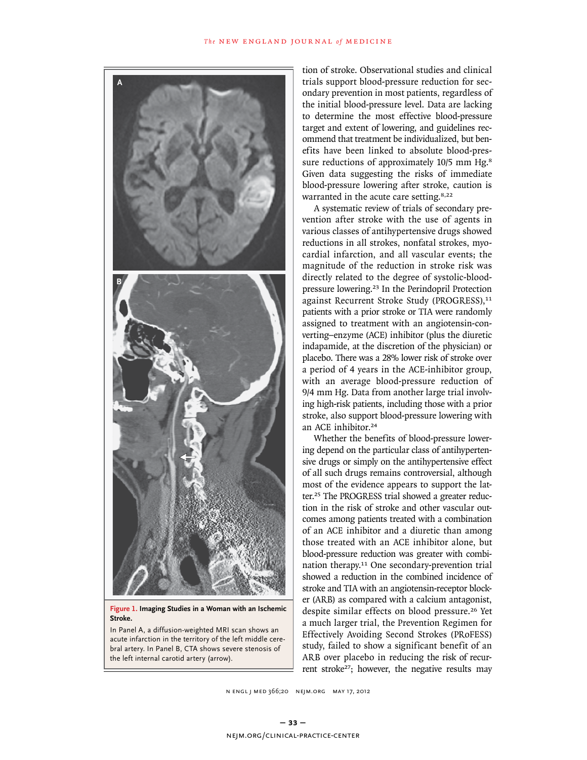

**Figure 1. Imaging Studies in a Woman with an Ischemic Stroke.**

In Panel A, a diffusion-weighted MRI scan shows an acute infarction in the territory of the left middle cerebral artery. In Panel B, CTA shows severe stenosis of the left internal carotid artery (arrow).

tion of stroke. Observational studies and clinical trials support blood-pressure reduction for secondary prevention in most patients, regardless of the initial blood-pressure level. Data are lacking to determine the most effective blood-pressure target and extent of lowering, and guidelines recommend that treatment be individualized, but benefits have been linked to absolute blood-pressure reductions of approximately 10/5 mm Hg.<sup>8</sup> Given data suggesting the risks of immediate blood-pressure lowering after stroke, caution is warranted in the acute care setting.<sup>8,22</sup>

A systematic review of trials of secondary prevention after stroke with the use of agents in various classes of antihypertensive drugs showed reductions in all strokes, nonfatal strokes, myocardial infarction, and all vascular events; the magnitude of the reduction in stroke risk was directly related to the degree of systolic-bloodpressure lowering.<sup>23</sup> In the Perindopril Protection against Recurrent Stroke Study (PROGRESS),<sup>11</sup> patients with a prior stroke or TIA were randomly assigned to treatment with an angiotensin-converting–enzyme (ACE) inhibitor (plus the diuretic indapamide, at the discretion of the physician) or placebo. There was a 28% lower risk of stroke over a period of 4 years in the ACE-inhibitor group, with an average blood-pressure reduction of 9/4 mm Hg. Data from another large trial involving high-risk patients, including those with a prior stroke, also support blood-pressure lowering with an ACE inhibitor.<sup>24</sup>

Whether the benefits of blood-pressure lowering depend on the particular class of antihypertensive drugs or simply on the antihypertensive effect of all such drugs remains controversial, although most of the evidence appears to support the latter.25 The PROGRESS trial showed a greater reduction in the risk of stroke and other vascular outcomes among patients treated with a combination of an ACE inhibitor and a diuretic than among those treated with an ACE inhibitor alone, but blood-pressure reduction was greater with combination therapy.<sup>11</sup> One secondary-prevention trial showed a reduction in the combined incidence of stroke and TIA with an angiotensin-receptor blocker (ARB) as compared with a calcium antagonist, despite similar effects on blood pressure.<sup>26</sup> Yet a much larger trial, the Prevention Regimen for Effectively Avoiding Second Strokes (PRoFESS) study, failed to show a significant benefit of an ARB over placebo in reducing the risk of recurrent stroke<sup>27</sup>; however, the negative results may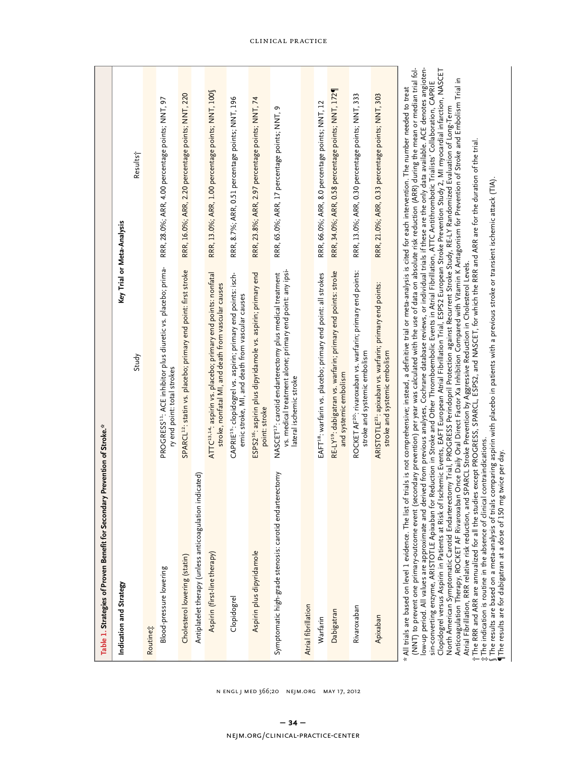| Table 1. Strategies of Proven Benefit for Secondary                                                                                                                                                                                                                                                                                                                              | Prevention of Stroke.*                                                                                                                                                                                                                                                                                                                                                                                                                                                                                                                                                                                                                                                                                                                                                                                                                                                                                                                                                                                                                                                                                                                                                                                                                                                                                                                                                                                                                                                                                                                                             |                                                    |
|----------------------------------------------------------------------------------------------------------------------------------------------------------------------------------------------------------------------------------------------------------------------------------------------------------------------------------------------------------------------------------|--------------------------------------------------------------------------------------------------------------------------------------------------------------------------------------------------------------------------------------------------------------------------------------------------------------------------------------------------------------------------------------------------------------------------------------------------------------------------------------------------------------------------------------------------------------------------------------------------------------------------------------------------------------------------------------------------------------------------------------------------------------------------------------------------------------------------------------------------------------------------------------------------------------------------------------------------------------------------------------------------------------------------------------------------------------------------------------------------------------------------------------------------------------------------------------------------------------------------------------------------------------------------------------------------------------------------------------------------------------------------------------------------------------------------------------------------------------------------------------------------------------------------------------------------------------------|----------------------------------------------------|
| Indication and Strategy                                                                                                                                                                                                                                                                                                                                                          |                                                                                                                                                                                                                                                                                                                                                                                                                                                                                                                                                                                                                                                                                                                                                                                                                                                                                                                                                                                                                                                                                                                                                                                                                                                                                                                                                                                                                                                                                                                                                                    | Key Trial or Meta-Analysis                         |
|                                                                                                                                                                                                                                                                                                                                                                                  | Study                                                                                                                                                                                                                                                                                                                                                                                                                                                                                                                                                                                                                                                                                                                                                                                                                                                                                                                                                                                                                                                                                                                                                                                                                                                                                                                                                                                                                                                                                                                                                              | Results                                            |
| Routinet                                                                                                                                                                                                                                                                                                                                                                         |                                                                                                                                                                                                                                                                                                                                                                                                                                                                                                                                                                                                                                                                                                                                                                                                                                                                                                                                                                                                                                                                                                                                                                                                                                                                                                                                                                                                                                                                                                                                                                    |                                                    |
| Blood-pressure lowering                                                                                                                                                                                                                                                                                                                                                          | PROGRESS <sup>11</sup> : ACE inhibitor plus diuretic vs. placebo; prima-<br>ry end point: total strokes                                                                                                                                                                                                                                                                                                                                                                                                                                                                                                                                                                                                                                                                                                                                                                                                                                                                                                                                                                                                                                                                                                                                                                                                                                                                                                                                                                                                                                                            | RRR, 28.0%; ARR, 4.00 percentage points; NNT, 97   |
| Cholesterol lowering (statin)                                                                                                                                                                                                                                                                                                                                                    | SPARCL <sup>12</sup> : statin vs. placebo; primary end point: first stroke                                                                                                                                                                                                                                                                                                                                                                                                                                                                                                                                                                                                                                                                                                                                                                                                                                                                                                                                                                                                                                                                                                                                                                                                                                                                                                                                                                                                                                                                                         | RRR, 16.0%; ARR, 2.20 percentage points; NNT, 220  |
| Antiplatelet therapy (unless anticoagulation indicated)                                                                                                                                                                                                                                                                                                                          |                                                                                                                                                                                                                                                                                                                                                                                                                                                                                                                                                                                                                                                                                                                                                                                                                                                                                                                                                                                                                                                                                                                                                                                                                                                                                                                                                                                                                                                                                                                                                                    |                                                    |
| Aspirin (first-line therapy)                                                                                                                                                                                                                                                                                                                                                     | ATTC <sup>13,14</sup> : aspirin vs. placebo; primary end points: nonfatal<br>stroke, nonfatal MI, and death from vascular causes                                                                                                                                                                                                                                                                                                                                                                                                                                                                                                                                                                                                                                                                                                                                                                                                                                                                                                                                                                                                                                                                                                                                                                                                                                                                                                                                                                                                                                   | RRR, 13.0%; ARR, 1.00 percentage points; NNT, 100  |
| Clopidogrel                                                                                                                                                                                                                                                                                                                                                                      | CAPRIE <sup>15</sup> : clopidogrel vs. aspirin; primary end points: isch-<br>emic stroke, MI, and death from vascular causes                                                                                                                                                                                                                                                                                                                                                                                                                                                                                                                                                                                                                                                                                                                                                                                                                                                                                                                                                                                                                                                                                                                                                                                                                                                                                                                                                                                                                                       | RRR, 8.7%; ARR, 0.51 percentage points; NNT, 196   |
| Aspirin plus dipyridamole                                                                                                                                                                                                                                                                                                                                                        | ESPS2 <sup>16</sup> : aspirin plus dipyridamole vs. aspirin; primary end<br>point: stroke                                                                                                                                                                                                                                                                                                                                                                                                                                                                                                                                                                                                                                                                                                                                                                                                                                                                                                                                                                                                                                                                                                                                                                                                                                                                                                                                                                                                                                                                          | RRR, 23.8%; ARR, 2.97 percentage points; NNT, 74   |
| rectomy<br>Symptomatic high-grade stenosis: carotid endarte                                                                                                                                                                                                                                                                                                                      | vs. medical treatment alone; primary end point: any ipsi-<br>NASCET <sup>17</sup> : carotid endarterectomy plus medical treatment<br>lateral ischemic stroke                                                                                                                                                                                                                                                                                                                                                                                                                                                                                                                                                                                                                                                                                                                                                                                                                                                                                                                                                                                                                                                                                                                                                                                                                                                                                                                                                                                                       | Ō<br>RRR, 65.0%; ARR, 17 percentage points; NNT,   |
| Atrial fibrillation                                                                                                                                                                                                                                                                                                                                                              |                                                                                                                                                                                                                                                                                                                                                                                                                                                                                                                                                                                                                                                                                                                                                                                                                                                                                                                                                                                                                                                                                                                                                                                                                                                                                                                                                                                                                                                                                                                                                                    |                                                    |
| Warfarin                                                                                                                                                                                                                                                                                                                                                                         | EAFT <sup>18</sup> : warfarin vs. placebo; primary end point: all strokes                                                                                                                                                                                                                                                                                                                                                                                                                                                                                                                                                                                                                                                                                                                                                                                                                                                                                                                                                                                                                                                                                                                                                                                                                                                                                                                                                                                                                                                                                          | RRR, 66.0%; ARR, 8.0 percentage points; NNT, 12    |
| Dabigatran                                                                                                                                                                                                                                                                                                                                                                       | RE-LY <sup>19</sup> : dabigatran vs. warfarin; primary end points: stroke<br>and systemic embolism                                                                                                                                                                                                                                                                                                                                                                                                                                                                                                                                                                                                                                                                                                                                                                                                                                                                                                                                                                                                                                                                                                                                                                                                                                                                                                                                                                                                                                                                 | RRR, 34.0%; ARR, 0.58 percentage points; NNT, 172¶ |
| Rivaroxaban                                                                                                                                                                                                                                                                                                                                                                      | ROCKET AF <sup>20</sup> : rivaroxaban vs. warfarin; primary end points:<br>stroke and systemic embolism                                                                                                                                                                                                                                                                                                                                                                                                                                                                                                                                                                                                                                                                                                                                                                                                                                                                                                                                                                                                                                                                                                                                                                                                                                                                                                                                                                                                                                                            | RRR, 13.0%; ARR, 0.30 percentage points; NNT, 333  |
| Apixaban                                                                                                                                                                                                                                                                                                                                                                         | ARISTOTLE <sup>21</sup> : apixaban vs. warfarin; primary end points:<br>stroke and systemic embolism                                                                                                                                                                                                                                                                                                                                                                                                                                                                                                                                                                                                                                                                                                                                                                                                                                                                                                                                                                                                                                                                                                                                                                                                                                                                                                                                                                                                                                                               | RRR, 21.0%; ARR, 0.33 percentage points; NNT, 303  |
| contraindications.<br>The results are for dabigatran at a dose of 150 mg twice per day.<br>All trials are based on level 1 evidence. The list of<br>Atrial Fibrillation, RRR relative risk reduction, and<br>t The RRR and ARR are annualized for all the studie<br>The indication is routine in the absence of clinical<br>sin-converting enzyme, ARISTOTLE Apixaban for<br>$+$ | low-up period. All values are approximate and derived from previous analyses, Cochrane database reviews, or individual trials if these are the only data available. ACE denotes angioten-<br>(NNT) to prevent one primary-outcome event (secondary prevention) per year was calculated with the use of data on absolute risk reduction (ARR) during the mean or median trial fol-<br>Clopidogrel versus Aspirin in Patients at Risk of Ischemic Events, EAFT European Atrial Fibrillation Trial, ESPS2 European Stroke Prevention Study 2, MI myocardial infarction, NASCET<br>Anticoagulation Therapy, ROCKET AF Rivaroxaban Once Daily Oral Direct Factor Xa Inhibition Compared with Vitamin K Antagonism for Prevention of Stroke and Embolism Trial in<br>Reduction in Stroke and Other Thromboembolic Events in Atrial Fibrillation, ATTC Antithrombotic Trialists' Collaboration, CAPRIE<br>trials is not comprehensive; instead, a definitive trial or meta-analysis is cited for each intervention. The number needed to treat<br>North American Symptomatic Carotid Endarterectomy Trial, PROGRESS Perindopril Protection against Recurrent Stroke Study, RE-LY Randomized Evaluation of Long-Term<br>ss except PROGRESS, SPARCL, ESPS2, and NASCET, for which the RRR and ARR are for the duration of the trial.<br>The results are based on a meta-analysis of trials comparing aspirin with placebo in patients with a previous stroke or transient ischemic attack (TIA).<br>SPARCL Stroke Prevention by Aggressive Reduction in Cholesterol Levels. |                                                    |

# **– 34 –** nejm.org/clinical-practice-center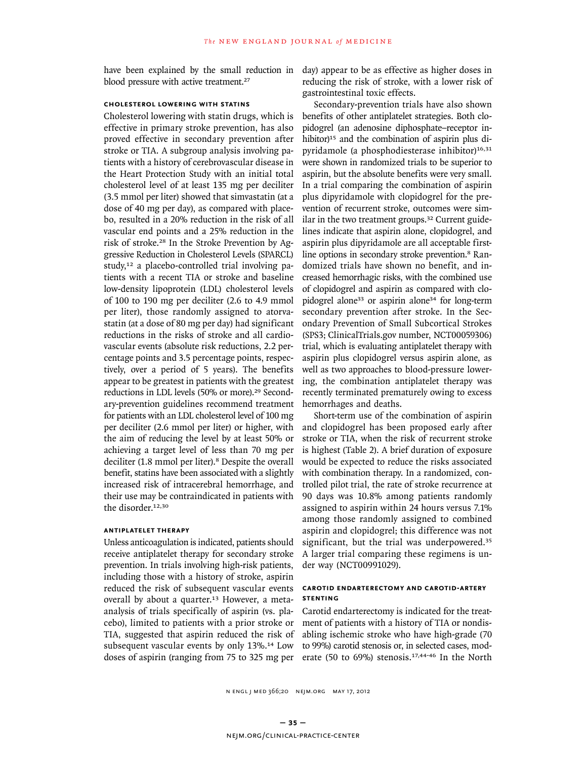have been explained by the small reduction in blood pressure with active treatment.<sup>27</sup>

### **Cholesterol Lowering with Statins**

Cholesterol lowering with statin drugs, which is effective in primary stroke prevention, has also proved effective in secondary prevention after stroke or TIA. A subgroup analysis involving patients with a history of cerebrovascular disease in the Heart Protection Study with an initial total cholesterol level of at least 135 mg per deciliter (3.5 mmol per liter) showed that simvastatin (at a dose of 40 mg per day), as compared with placebo, resulted in a 20% reduction in the risk of all vascular end points and a 25% reduction in the risk of stroke.28 In the Stroke Prevention by Aggressive Reduction in Cholesterol Levels (SPARCL) study, $12$  a placebo-controlled trial involving patients with a recent TIA or stroke and baseline low-density lipoprotein (LDL) cholesterol levels of 100 to 190 mg per deciliter (2.6 to 4.9 mmol per liter), those randomly assigned to atorvastatin (at a dose of 80 mg per day) had significant reductions in the risks of stroke and all cardiovascular events (absolute risk reductions, 2.2 percentage points and 3.5 percentage points, respectively, over a period of 5 years). The benefits appear to be greatest in patients with the greatest reductions in LDL levels (50% or more).<sup>29</sup> Secondary-prevention guidelines recommend treatment for patients with an LDL cholesterol level of 100 mg per deciliter (2.6 mmol per liter) or higher, with the aim of reducing the level by at least 50% or achieving a target level of less than 70 mg per deciliter (1.8 mmol per liter).<sup>8</sup> Despite the overall benefit, statins have been associated with a slightly increased risk of intracerebral hemorrhage, and their use may be contraindicated in patients with the disorder.<sup>12,30</sup>

### **Antiplatelet Therapy**

Unless anticoagulation is indicated, patients should receive antiplatelet therapy for secondary stroke prevention. In trials involving high-risk patients, including those with a history of stroke, aspirin reduced the risk of subsequent vascular events overall by about a quarter.<sup>13</sup> However, a metaanalysis of trials specifically of aspirin (vs. placebo), limited to patients with a prior stroke or TIA, suggested that aspirin reduced the risk of subsequent vascular events by only 13%.<sup>14</sup> Low doses of aspirin (ranging from 75 to 325 mg per

day) appear to be as effective as higher doses in reducing the risk of stroke, with a lower risk of gastrointestinal toxic effects.

Secondary-prevention trials have also shown benefits of other antiplatelet strategies. Both clopidogrel (an adenosine diphosphate–receptor inhibitor) $15$  and the combination of aspirin plus dipyridamole (a phosphodiesterase inhibitor) $16,31$ were shown in randomized trials to be superior to aspirin, but the absolute benefits were very small. In a trial comparing the combination of aspirin plus dipyridamole with clopidogrel for the prevention of recurrent stroke, outcomes were similar in the two treatment groups.<sup>32</sup> Current guidelines indicate that aspirin alone, clopidogrel, and aspirin plus dipyridamole are all acceptable firstline options in secondary stroke prevention.<sup>8</sup> Randomized trials have shown no benefit, and increased hemorrhagic risks, with the combined use of clopidogrel and aspirin as compared with clopidogrel alone<sup>33</sup> or aspirin alone<sup>34</sup> for long-term secondary prevention after stroke. In the Secondary Prevention of Small Subcortical Strokes (SPS3; ClinicalTrials.gov number, NCT00059306) trial, which is evaluating antiplatelet therapy with aspirin plus clopidogrel versus aspirin alone, as well as two approaches to blood-pressure lowering, the combination antiplatelet therapy was recently terminated prematurely owing to excess hemorrhages and deaths.

Short-term use of the combination of aspirin and clopidogrel has been proposed early after stroke or TIA, when the risk of recurrent stroke is highest (Table 2). A brief duration of exposure would be expected to reduce the risks associated with combination therapy. In a randomized, controlled pilot trial, the rate of stroke recurrence at 90 days was 10.8% among patients randomly assigned to aspirin within 24 hours versus 7.1% among those randomly assigned to combined aspirin and clopidogrel; this difference was not significant, but the trial was underpowered.<sup>35</sup> A larger trial comparing these regimens is under way (NCT00991029).

## **Carotid Endarterectomy and Carotid-Artery Stenting**

Carotid endarterectomy is indicated for the treatment of patients with a history of TIA or nondisabling ischemic stroke who have high-grade (70 to 99%) carotid stenosis or, in selected cases, moderate (50 to 69%) stenosis.17,44-46 In the North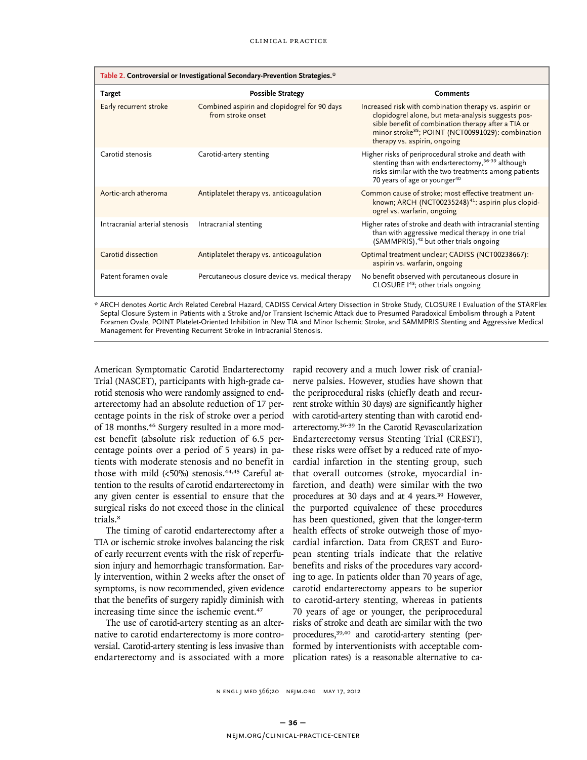| Target                         | <b>Possible Strategy</b>                                          | Comments                                                                                                                                                                                                                                                             |
|--------------------------------|-------------------------------------------------------------------|----------------------------------------------------------------------------------------------------------------------------------------------------------------------------------------------------------------------------------------------------------------------|
| Early recurrent stroke         | Combined aspirin and clopidogrel for 90 days<br>from stroke onset | Increased risk with combination therapy vs. aspirin or<br>clopidogrel alone, but meta-analysis suggests pos-<br>sible benefit of combination therapy after a TIA or<br>minor stroke <sup>35</sup> ; POINT (NCT00991029): combination<br>therapy vs. aspirin, ongoing |
| Carotid stenosis               | Carotid-artery stenting                                           | Higher risks of periprocedural stroke and death with<br>stenting than with endarterectomy, <sup>36-39</sup> although<br>risks similar with the two treatments among patients<br>70 years of age or younger <sup>40</sup>                                             |
| Aortic-arch atheroma           | Antiplatelet therapy vs. anticoagulation                          | Common cause of stroke; most effective treatment un-<br>known; ARCH (NCT00235248) <sup>41</sup> : aspirin plus clopid-<br>ogrel vs. warfarin, ongoing                                                                                                                |
| Intracranial arterial stenosis | Intracranial stenting                                             | Higher rates of stroke and death with intracranial stenting<br>than with aggressive medical therapy in one trial<br>(SAMMPRIS), <sup>42</sup> but other trials ongoing                                                                                               |
| Carotid dissection             | Antiplatelet therapy vs. anticoagulation                          | Optimal treatment unclear; CADISS (NCT00238667):<br>aspirin vs. warfarin, ongoing                                                                                                                                                                                    |
| Patent foramen ovale           | Percutaneous closure device vs. medical therapy                   | No benefit observed with percutaneous closure in<br>CLOSURE 143; other trials ongoing                                                                                                                                                                                |

ARCH denotes Aortic Arch Related Cerebral Hazard, CADISS Cervical Artery Dissection in Stroke Study, CLOSURE I Evaluation of the STARFlex Septal Closure System in Patients with a Stroke and/or Transient Ischemic Attack due to Presumed Paradoxical Embolism through a Patent Foramen Ovale, POINT Platelet-Oriented Inhibition in New TIA and Minor Ischemic Stroke, and SAMMPRIS Stenting and Aggressive Medical Management for Preventing Recurrent Stroke in Intracranial Stenosis.

American Symptomatic Carotid Endarterectomy Trial (NASCET), participants with high-grade carotid stenosis who were randomly assigned to endarterectomy had an absolute reduction of 17 percentage points in the risk of stroke over a period of 18 months.46 Surgery resulted in a more modest benefit (absolute risk reduction of 6.5 percentage points over a period of 5 years) in patients with moderate stenosis and no benefit in those with mild  $(50\%)$  stenosis.<sup>44,45</sup> Careful attention to the results of carotid endarterectomy in any given center is essential to ensure that the surgical risks do not exceed those in the clinical trials.<sup>8</sup>

The timing of carotid endarterectomy after a TIA or ischemic stroke involves balancing the risk of early recurrent events with the risk of reperfusion injury and hemorrhagic transformation. Early intervention, within 2 weeks after the onset of symptoms, is now recommended, given evidence that the benefits of surgery rapidly diminish with increasing time since the ischemic event.<sup>47</sup>

The use of carotid-artery stenting as an alternative to carotid endarterectomy is more controversial. Carotid-artery stenting is less invasive than endarterectomy and is associated with a more

rapid recovery and a much lower risk of cranialnerve palsies. However, studies have shown that the periprocedural risks (chiefly death and recurrent stroke within 30 days) are significantly higher with carotid-artery stenting than with carotid endarterectomy.36-39 In the Carotid Revascularization Endarterectomy versus Stenting Trial (CREST), these risks were offset by a reduced rate of myocardial infarction in the stenting group, such that overall outcomes (stroke, myocardial infarction, and death) were similar with the two procedures at 30 days and at 4 years.<sup>39</sup> However, the purported equivalence of these procedures has been questioned, given that the longer-term health effects of stroke outweigh those of myocardial infarction. Data from CREST and European stenting trials indicate that the relative benefits and risks of the procedures vary according to age. In patients older than 70 years of age, carotid endarterectomy appears to be superior to carotid-artery stenting, whereas in patients 70 years of age or younger, the periprocedural risks of stroke and death are similar with the two procedures,39,40 and carotid-artery stenting (performed by interventionists with acceptable complication rates) is a reasonable alternative to ca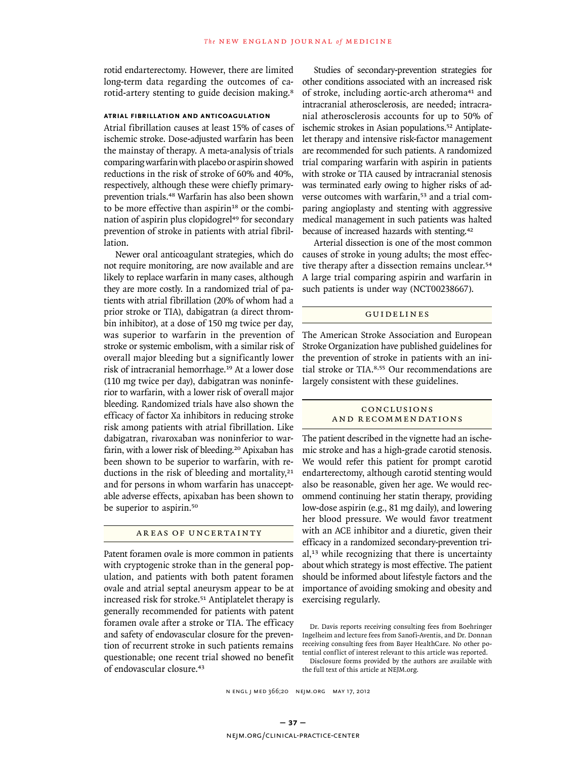rotid endarterectomy. However, there are limited long-term data regarding the outcomes of carotid-artery stenting to guide decision making.<sup>8</sup>

# **Atrial Fibrillation and Anticoagulation**

Atrial fibrillation causes at least 15% of cases of ischemic stroke. Dose-adjusted warfarin has been the mainstay of therapy. A meta-analysis of trials comparing warfarin with placebo or aspirin showed reductions in the risk of stroke of 60% and 40%, respectively, although these were chiefly primaryprevention trials.<sup>48</sup> Warfarin has also been shown to be more effective than aspirin<sup>18</sup> or the combination of aspirin plus clopidogrel<sup>49</sup> for secondary prevention of stroke in patients with atrial fibrillation.

Newer oral anticoagulant strategies, which do not require monitoring, are now available and are likely to replace warfarin in many cases, although they are more costly. In a randomized trial of patients with atrial fibrillation (20% of whom had a prior stroke or TIA), dabigatran (a direct thrombin inhibitor), at a dose of 150 mg twice per day, was superior to warfarin in the prevention of stroke or systemic embolism, with a similar risk of overall major bleeding but a significantly lower risk of intracranial hemorrhage.<sup>19</sup> At a lower dose (110 mg twice per day), dabigatran was noninferior to warfarin, with a lower risk of overall major bleeding. Randomized trials have also shown the efficacy of factor Xa inhibitors in reducing stroke risk among patients with atrial fibrillation. Like dabigatran, rivaroxaban was noninferior to warfarin, with a lower risk of bleeding.<sup>20</sup> Apixaban has been shown to be superior to warfarin, with reductions in the risk of bleeding and mortality, $2<sup>1</sup>$ and for persons in whom warfarin has unacceptable adverse effects, apixaban has been shown to be superior to aspirin.<sup>50</sup>

# AREAS OF UNCERTAINTY

Patent foramen ovale is more common in patients with cryptogenic stroke than in the general population, and patients with both patent foramen ovale and atrial septal aneurysm appear to be at increased risk for stroke.<sup>51</sup> Antiplatelet therapy is generally recommended for patients with patent foramen ovale after a stroke or TIA. The efficacy and safety of endovascular closure for the prevention of recurrent stroke in such patients remains questionable; one recent trial showed no benefit of endovascular closure.<sup>43</sup>

Studies of secondary-prevention strategies for other conditions associated with an increased risk of stroke, including aortic-arch atheroma<sup>41</sup> and intracranial atherosclerosis, are needed; intracranial atherosclerosis accounts for up to 50% of ischemic strokes in Asian populations.<sup>52</sup> Antiplatelet therapy and intensive risk-factor management are recommended for such patients. A randomized trial comparing warfarin with aspirin in patients with stroke or TIA caused by intracranial stenosis was terminated early owing to higher risks of adverse outcomes with warfarin,<sup>53</sup> and a trial comparing angioplasty and stenting with aggressive medical management in such patients was halted because of increased hazards with stenting.<sup>42</sup>

Arterial dissection is one of the most common causes of stroke in young adults; the most effective therapy after a dissection remains unclear.<sup>54</sup> A large trial comparing aspirin and warfarin in such patients is under way (NCT00238667).

### Guidelines

The American Stroke Association and European Stroke Organization have published guidelines for the prevention of stroke in patients with an initial stroke or TIA.<sup>8,55</sup> Our recommendations are largely consistent with these guidelines.

### Conclusions AND RECOMMENDATIONS

The patient described in the vignette had an ischemic stroke and has a high-grade carotid stenosis. We would refer this patient for prompt carotid endarterectomy, although carotid stenting would also be reasonable, given her age. We would recommend continuing her statin therapy, providing low-dose aspirin (e.g., 81 mg daily), and lowering her blood pressure. We would favor treatment with an ACE inhibitor and a diuretic, given their efficacy in a randomized secondary-prevention trial,<sup>13</sup> while recognizing that there is uncertainty about which strategy is most effective. The patient should be informed about lifestyle factors and the importance of avoiding smoking and obesity and exercising regularly.

Dr. Davis reports receiving consulting fees from Boehringer Ingelheim and lecture fees from Sanofi-Aventis, and Dr. Donnan receiving consulting fees from Bayer HealthCare. No other potential conflict of interest relevant to this article was reported.

Disclosure forms provided by the authors are available with the full text of this article at NEJM.org.

1920 n engl j med 366;20 nejm.org may 17, 2012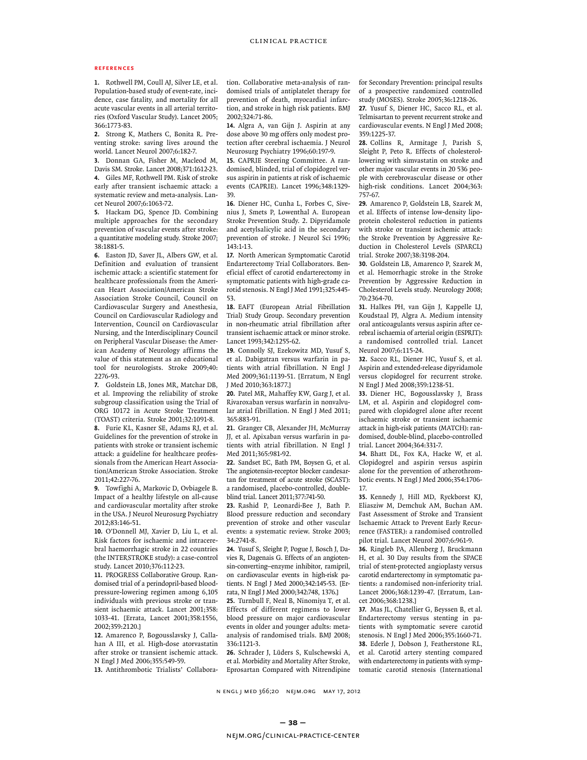#### **References**

**1.** Rothwell PM, Coull AJ, Silver LE, et al. Population-based study of event-rate, incidence, case fatality, and mortality for all acute vascular events in all arterial territories (Oxford Vascular Study). Lancet 2005; 366:1773-83.

**2.** Strong K, Mathers C, Bonita R. Preventing stroke: saving lives around the world. Lancet Neurol 2007;6:182-7.

**3.** Donnan GA, Fisher M, Macleod M, Davis SM. Stroke. Lancet 2008;371:1612-23. **4.** Giles MF, Rothwell PM. Risk of stroke early after transient ischaemic attack: a systematic review and meta-analysis. Lancet Neurol 2007;6:1063-72.

**5.** Hackam DG, Spence JD. Combining multiple approaches for the secondary prevention of vascular events after stroke: a quantitative modeling study. Stroke 2007; 38:1881-5.

**6.** Easton JD, Saver JL, Albers GW, et al. Definition and evaluation of transient ischemic attack: a scientific statement for healthcare professionals from the American Heart Association/American Stroke Association Stroke Council, Council on Cardiovascular Surgery and Anesthesia, Council on Cardiovascular Radiology and Intervention, Council on Cardiovascular Nursing, and the Interdisciplinary Council on Peripheral Vascular Disease: the American Academy of Neurology affirms the value of this statement as an educational tool for neurologists. Stroke 2009;40: 2276-93.

**7.** Goldstein LB, Jones MR, Matchar DB, et al. Improving the reliability of stroke subgroup classification using the Trial of ORG 10172 in Acute Stroke Treatment (TOAST) criteria. Stroke 2001;32:1091-8. **8.** Furie KL, Kasner SE, Adams RJ, et al. Guidelines for the prevention of stroke in patients with stroke or transient ischemic attack: a guideline for healthcare professionals from the American Heart Association/American Stroke Association. Stroke 2011;42:227-76.

**9.** Towfighi A, Markovic D, Ovbiagele B. Impact of a healthy lifestyle on all-cause and cardiovascular mortality after stroke in the USA. J Neurol Neurosurg Psychiatry 2012;83:146-51.

**10.** O'Donnell MJ, Xavier D, Liu L, et al. Risk factors for ischaemic and intracerebral haemorrhagic stroke in 22 countries (the INTERSTROKE study): a case-control study. Lancet 2010;376:112-23.

**11.** PROGRESS Collaborative Group. Randomised trial of a perindopril-based bloodpressure-lowering regimen among 6,105 individuals with previous stroke or transient ischaemic attack. Lancet 2001;358: 1033-41. [Errata, Lancet 2001;358:1556, 2002;359:2120.]

**12.** Amarenco P, Bogousslavsky J, Callahan A III, et al. High-dose atorvastatin after stroke or transient ischemic attack. N Engl J Med 2006;355:549-59.

**13.** Antithrombotic Trialists' Collabora-

tion. Collaborative meta-analysis of randomised trials of antiplatelet therapy for prevention of death, myocardial infarction, and stroke in high risk patients. BMJ 2002;324:71-86.

**14.** Algra A, van Gijn J. Aspirin at any dose above 30 mg offers only modest protection after cerebral ischaemia. J Neurol Neurosurg Psychiatry 1996;60:197-9.

**15.** CAPRIE Steering Committee. A randomised, blinded, trial of clopidogrel versus aspirin in patients at risk of ischaemic events (CAPRIE). Lancet 1996;348:1329- 39.

**16.** Diener HC, Cunha L, Forbes C, Sivenius J, Smets P, Lowenthal A. European Stroke Prevention Study. 2. Dipyridamole and acetylsalicylic acid in the secondary prevention of stroke. J Neurol Sci 1996; 143:1-13.

**17.** North American Symptomatic Carotid Endarterectomy Trial Collaborators. Beneficial effect of carotid endarterectomy in symptomatic patients with high-grade carotid stenosis. N Engl J Med 1991;325:445- 53.

**18.** EAFT (European Atrial Fibrillation Trial) Study Group. Secondary prevention in non-rheumatic atrial fibrillation after transient ischaemic attack or minor stroke. Lancet 1993;342:1255-62.

**19.** Connolly SJ, Ezekowitz MD, Yusuf S, et al. Dabigatran versus warfarin in patients with atrial fibrillation. N Engl J Med 2009;361:1139-51. [Erratum, N Engl J Med 2010;363:1877.]

**20.** Patel MR, Mahaffey KW, Garg J, et al. Rivaroxaban versus warfarin in nonvalvular atrial fibrillation. N Engl J Med 2011; 365:883-91.

**21.** Granger CB, Alexander JH, McMurray JJ, et al. Apixaban versus warfarin in patients with atrial fibrillation. N Engl J Med 2011;365:981-92.

**22.** Sandset EC, Bath PM, Boysen G, et al. The angiotensin-receptor blocker candesartan for treatment of acute stroke (SCAST): a randomised, placebo-controlled, doubleblind trial. Lancet 2011;377:741-50.

**23.** Rashid P, Leonardi-Bee J, Bath P. Blood pressure reduction and secondary prevention of stroke and other vascular events: a systematic review. Stroke 2003; 34:2741-8.

**24.** Yusuf S, Sleight P, Pogue J, Bosch J, Davies R, Dagenais G. Effects of an angiotensin-converting–enzyme inhibitor, ramipril, on cardiovascular events in high-risk patients. N Engl J Med 2000;342:145-53. [Errata, N Engl J Med 2000;342:748, 1376.]

**25.** Turnbull F, Neal B, Ninomiya T, et al. Effects of different regimens to lower blood pressure on major cardiovascular events in older and younger adults: metaanalysis of randomised trials. BMJ 2008; 336:1121-3.

**26.** Schrader J, Lüders S, Kulschewski A, et al. Morbidity and Mortality After Stroke, Eprosartan Compared with Nitrendipine **27.** Yusuf S, Diener HC, Sacco RL, et al. Telmisartan to prevent recurrent stroke and cardiovascular events. N Engl J Med 2008; 359:1225-37.

**28.** Collins R, Armitage J, Parish S, Sleight P, Peto R. Effects of cholesterollowering with simvastatin on stroke and other major vascular events in 20 536 people with cerebrovascular disease or other high-risk conditions. Lancet 2004;363: 757-67.

**29.** Amarenco P, Goldstein LB, Szarek M, et al. Effects of intense low-density lipoprotein cholesterol reduction in patients with stroke or transient ischemic attack: the Stroke Prevention by Aggressive Reduction in Cholesterol Levels (SPARCL) trial. Stroke 2007;38:3198-204.

**30.** Goldstein LB, Amarenco P, Szarek M, et al. Hemorrhagic stroke in the Stroke Prevention by Aggressive Reduction in Cholesterol Levels study. Neurology 2008; 70:2364-70.

**31.** Halkes PH, van Gijn J, Kappelle LJ, Koudstaal PJ, Algra A. Medium intensity oral anticoagulants versus aspirin after cerebral ischaemia of arterial origin (ESPRIT): a randomised controlled trial. Lancet Neurol 2007;6:115-24.

**32.** Sacco RL, Diener HC, Yusuf S, et al. Aspirin and extended-release dipyridamole versus clopidogrel for recurrent stroke. N Engl J Med 2008;359:1238-51.

**33.** Diener HC, Bogousslavsky J, Brass LM, et al. Aspirin and clopidogrel compared with clopidogrel alone after recent ischaemic stroke or transient ischaemic attack in high-risk patients (MATCH): randomised, double-blind, placebo-controlled trial. Lancet 2004;364:331-7.

**34.** Bhatt DL, Fox KA, Hacke W, et al. Clopidogrel and aspirin versus aspirin alone for the prevention of atherothrombotic events. N Engl J Med 2006;354:1706- 17.

**35.** Kennedy J, Hill MD, Ryckborst KJ, Eliasziw M, Demchuk AM, Buchan AM. Fast Assessment of Stroke and Transient Ischaemic Attack to Prevent Early Recurrence (FASTER): a randomised controlled pilot trial. Lancet Neurol 2007;6:961-9.

**36.** Ringleb PA, Allenberg J, Bruckmann H, et al. 30 Day results from the SPACE trial of stent-protected angioplasty versus carotid endarterectomy in symptomatic patients: a randomised non-inferiority trial. Lancet 2006;368:1239-47. [Erratum, Lancet 2006;368:1238.]

**37.** Mas JL, Chatellier G, Beyssen B, et al. Endarterectomy versus stenting in patients with symptomatic severe carotid stenosis. N Engl J Med 2006;355:1660-71. **38.** Ederle J, Dobson J, Featherstone RL, et al. Carotid artery stenting compared with endarterectomy in patients with symptomatic carotid stenosis (International